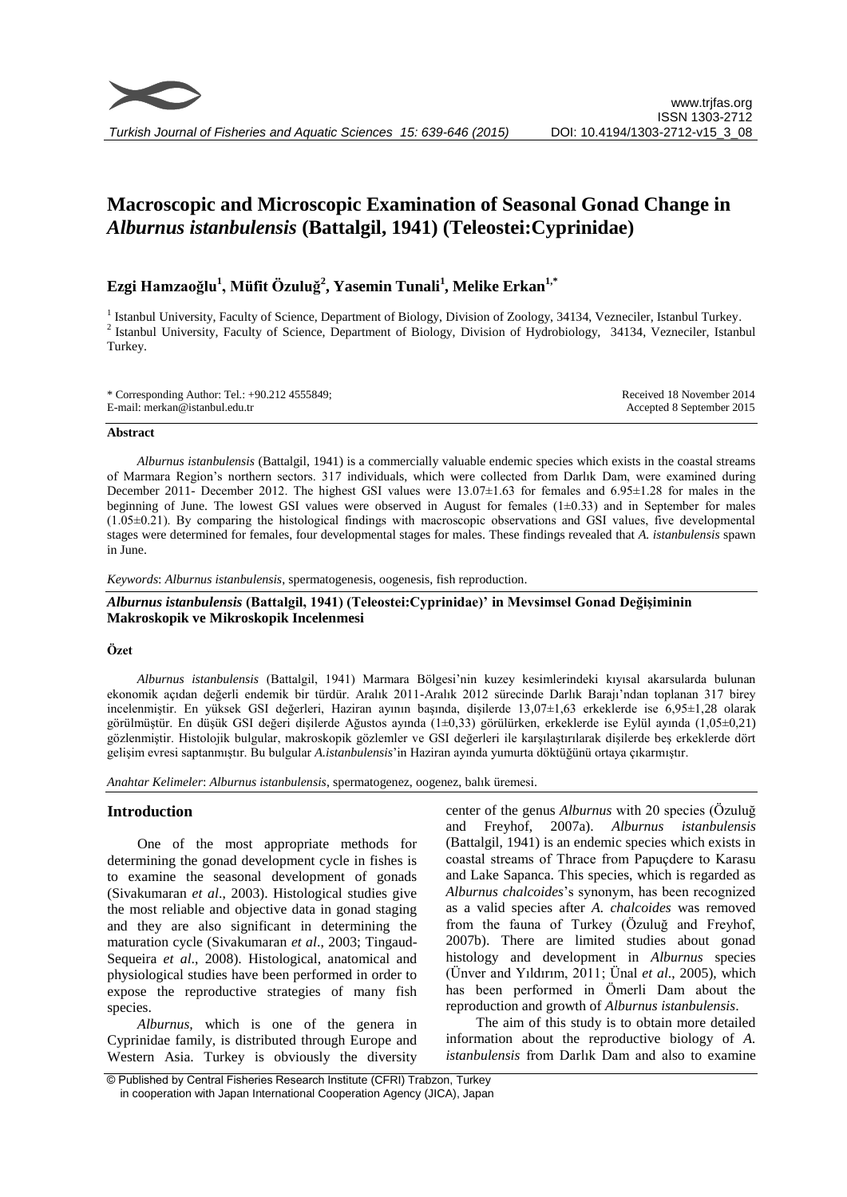

# **Macroscopic and Microscopic Examination of Seasonal Gonad Change in**  *Alburnus istanbulensis* **(Battalgil, 1941) (Teleostei:Cyprinidae)**

# **Ezgi Hamzaoğlu<sup>1</sup> , Müfit Özuluğ<sup>2</sup> , Yasemin Tunali<sup>1</sup> , Melike Erkan1,\***

<sup>1</sup> Istanbul University, Faculty of Science, Department of Biology, Division of Zoology, 34134, Vezneciler, Istanbul Turkey. 2 Istanbul University, Faculty of Science, Department of Biology, Division of Hydrobiology, 34134, Vezneciler, Istanbul Turkey.

| * Corresponding Author: Tel.: +90.212 4555849; | Received 18 November 2014 |
|------------------------------------------------|---------------------------|
| E-mail: merkan@istanbul.edu.tr                 | Accepted 8 September 2015 |

#### **Abstract**

*Alburnus istanbulensis* (Battalgil, 1941) is a commercially valuable endemic species which exists in the coastal streams of Marmara Region's northern sectors. 317 individuals, which were collected from Darlık Dam, were examined during December 2011- December 2012. The highest GSI values were 13.07±1.63 for females and 6.95±1.28 for males in the beginning of June. The lowest GSI values were observed in August for females  $(1\pm 0.33)$  and in September for males (1.05±0.21). By comparing the histological findings with macroscopic observations and GSI values, five developmental stages were determined for females, four developmental stages for males. These findings revealed that *A. istanbulensis* spawn in June.

*Keywords*: *Alburnus istanbulensis*, spermatogenesis, oogenesis, fish reproduction.

# *Alburnus istanbulensis* **(Battalgil, 1941) (Teleostei:Cyprinidae)' in Mevsimsel Gonad Değişiminin Makroskopik ve Mikroskopik Incelenmesi**

# **Özet**

*Alburnus istanbulensis* (Battalgil, 1941) Marmara Bölgesi'nin kuzey kesimlerindeki kıyısal akarsularda bulunan ekonomik açıdan değerli endemik bir türdür. Aralık 2011-Aralık 2012 sürecinde Darlık Barajı'ndan toplanan 317 birey incelenmiştir. En yüksek GSI değerleri, Haziran ayının başında, dişilerde 13,07±1,63 erkeklerde ise 6,95±1,28 olarak görülmüştür. En düşük GSI değeri dişilerde Ağustos ayında (1±0,33) görülürken, erkeklerde ise Eylül ayında (1,05±0,21) gözlenmiştir. Histolojik bulgular, makroskopik gözlemler ve GSI değerleri ile karşılaştırılarak dişilerde beş erkeklerde dört gelişim evresi saptanmıştır. Bu bulgular *A.istanbulensis*'in Haziran ayında yumurta döktüğünü ortaya çıkarmıştır.

*Anahtar Kelimeler*: *Alburnus istanbulensis*, spermatogenez, oogenez, balık üremesi.

# **Introduction**

One of the most appropriate methods for determining the gonad development cycle in fishes is to examine the seasonal development of gonads (Sivakumaran *et al*., 2003). Histological studies give the most reliable and objective data in gonad staging and they are also significant in determining the maturation cycle (Sivakumaran *et al*., 2003; Tingaud-Sequeira *et al*., 2008). Histological, anatomical and physiological studies have been performed in order to expose the reproductive strategies of many fish species.

*Alburnus,* which is one of the genera in Cyprinidae family, is distributed through Europe and Western Asia. Turkey is obviously the diversity

center of the genus *Alburnus* with 20 species (Özuluğ and Freyhof, 2007a). *Alburnus istanbulensis*  (Battalgil, 1941) is an endemic species which exists in coastal streams of Thrace from Papuçdere to Karasu and Lake Sapanca. This species, which is regarded as *Alburnus chalcoides*'s synonym, has been recognized as a valid species after *A. chalcoides* was removed from the fauna of Turkey (Özuluğ and Freyhof, 2007b). There are limited studies about gonad histology and development in *Alburnus* species (Ünver and Yıldırım, 2011; Ünal *et al*., 2005), which has been performed in Ömerli Dam about the reproduction and growth of *Alburnus istanbulensis*.

The aim of this study is to obtain more detailed information about the reproductive biology of *A. istanbulensis* from Darlık Dam and also to examine

<sup>©</sup> Published by Central Fisheries Research Institute (CFRI) Trabzon, Turkey in cooperation with Japan International Cooperation Agency (JICA), Japan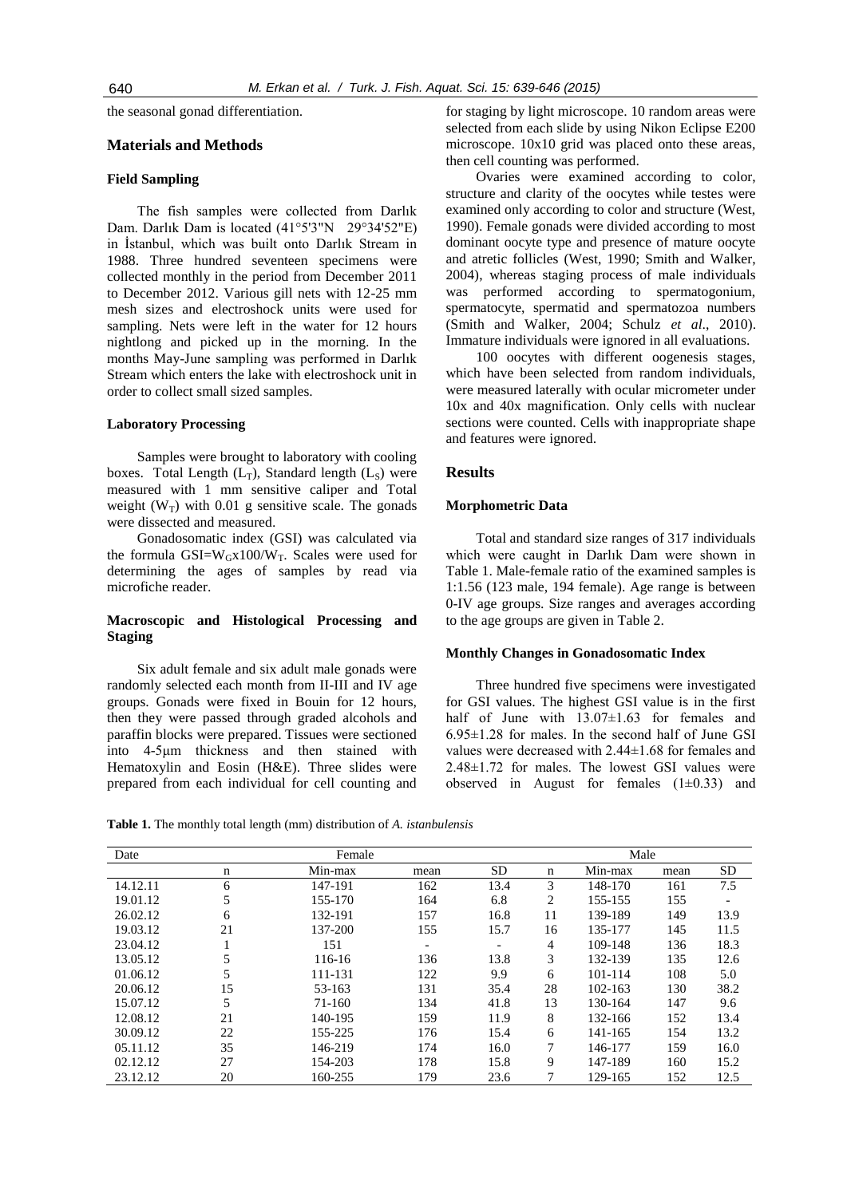the seasonal gonad differentiation.

# **Materials and Methods**

## **Field Sampling**

The fish samples were collected from Darlık Dam. Darlık Dam is located (41°5'3"N 29°34'52"E) in İstanbul, which was built onto Darlık Stream in 1988. Three hundred seventeen specimens were collected monthly in the period from December 2011 to December 2012. Various gill nets with 12-25 mm mesh sizes and electroshock units were used for sampling. Nets were left in the water for 12 hours nightlong and picked up in the morning. In the months May-June sampling was performed in Darlık Stream which enters the lake with electroshock unit in order to collect small sized samples.

### **Laboratory Processing**

Samples were brought to laboratory with cooling boxes. Total Length  $(L_T)$ , Standard length  $(L_S)$  were measured with 1 mm sensitive caliper and Total weight  $(W_T)$  with 0.01 g sensitive scale. The gonads were dissected and measured.

Gonadosomatic index (GSI) was calculated via the formula  $GSI=W_Gx100/W_T$ . Scales were used for determining the ages of samples by read via microfiche reader.

# **Macroscopic and Histological Processing and Staging**

Six adult female and six adult male gonads were randomly selected each month from II-III and IV age groups. Gonads were fixed in Bouin for 12 hours, then they were passed through graded alcohols and paraffin blocks were prepared. Tissues were sectioned into 4-5μm thickness and then stained with Hematoxylin and Eosin (H&E). Three slides were prepared from each individual for cell counting and for staging by light microscope. 10 random areas were selected from each slide by using Nikon Eclipse E200 microscope. 10x10 grid was placed onto these areas, then cell counting was performed.

Ovaries were examined according to color, structure and clarity of the oocytes while testes were examined only according to color and structure (West, 1990). Female gonads were divided according to most dominant oocyte type and presence of mature oocyte and atretic follicles (West, 1990; Smith and Walker, 2004), whereas staging process of male individuals was performed according to spermatogonium, spermatocyte, spermatid and spermatozoa numbers (Smith and Walker, 2004; Schulz *et al*., 2010). Immature individuals were ignored in all evaluations.

100 oocytes with different oogenesis stages, which have been selected from random individuals, were measured laterally with ocular micrometer under 10x and 40x magnification. Only cells with nuclear sections were counted. Cells with inappropriate shape and features were ignored.

#### **Results**

#### **Morphometric Data**

Total and standard size ranges of 317 individuals which were caught in Darlık Dam were shown in Table 1. Male-female ratio of the examined samples is 1:1.56 (123 male, 194 female). Age range is between 0-IV age groups. Size ranges and averages according to the age groups are given in Table 2.

#### **Monthly Changes in Gonadosomatic Index**

Three hundred five specimens were investigated for GSI values. The highest GSI value is in the first half of June with  $13.07\pm1.63$  for females and  $6.95\pm1.28$  for males. In the second half of June GSI values were decreased with 2.44±1.68 for females and 2.48±1.72 for males. The lowest GSI values were observed in August for females  $(1\pm0.33)$  and

**Table 1.** The monthly total length (mm) distribution of *A. istanbulensis*

| Date     |    | Female  |      |           |             | Male    |      |      |
|----------|----|---------|------|-----------|-------------|---------|------|------|
|          | n  | Min-max | mean | <b>SD</b> | $\mathbf n$ | Min-max | mean | SD   |
| 14.12.11 | 6  | 147-191 | 162  | 13.4      | 3           | 148-170 | 161  | 7.5  |
| 19.01.12 | 5  | 155-170 | 164  | 6.8       | 2           | 155-155 | 155  |      |
| 26.02.12 | 6  | 132-191 | 157  | 16.8      | 11          | 139-189 | 149  | 13.9 |
| 19.03.12 | 21 | 137-200 | 155  | 15.7      | 16          | 135-177 | 145  | 11.5 |
| 23.04.12 |    | 151     |      |           | 4           | 109-148 | 136  | 18.3 |
| 13.05.12 | 5  | 116-16  | 136  | 13.8      | 3           | 132-139 | 135  | 12.6 |
| 01.06.12 | 5  | 111-131 | 122  | 9.9       | 6           | 101-114 | 108  | 5.0  |
| 20.06.12 | 15 | 53-163  | 131  | 35.4      | 28          | 102-163 | 130  | 38.2 |
| 15.07.12 | 5  | 71-160  | 134  | 41.8      | 13          | 130-164 | 147  | 9.6  |
| 12.08.12 | 21 | 140-195 | 159  | 11.9      | 8           | 132-166 | 152  | 13.4 |
| 30.09.12 | 22 | 155-225 | 176  | 15.4      | 6           | 141-165 | 154  | 13.2 |
| 05.11.12 | 35 | 146-219 | 174  | 16.0      |             | 146-177 | 159  | 16.0 |
| 02.12.12 | 27 | 154-203 | 178  | 15.8      | 9           | 147-189 | 160  | 15.2 |
| 23.12.12 | 20 | 160-255 | 179  | 23.6      | 7           | 129-165 | 152  | 12.5 |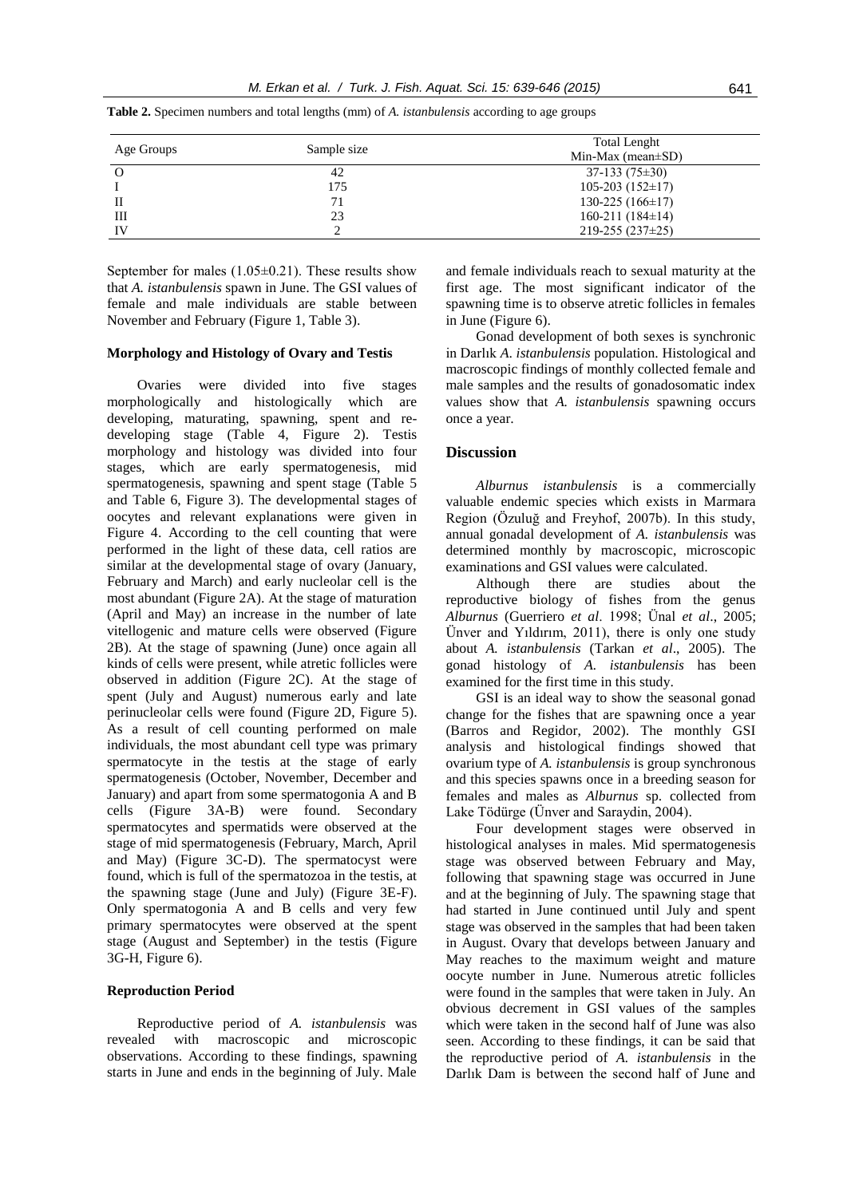| Age Groups | Sample size | Total Lenght<br>Min-Max (mean $\pm$ SD) |
|------------|-------------|-----------------------------------------|
| O          | 42          | $37-133(75\pm30)$                       |
|            | 175         | $105-203(152\pm 17)$                    |
| П          | 71          | $130-225(166\pm17)$                     |
| Ш          | 23          | $160-211(184\pm14)$                     |
| IV         |             | $219 - 255(237 \pm 25)$                 |

**Table 2.** Specimen numbers and total lengths (mm) of *A. istanbulensis* according to age groups

September for males  $(1.05\pm0.21)$ . These results show that *A. istanbulensis* spawn in June. The GSI values of female and male individuals are stable between November and February (Figure 1, Table 3).

#### **Morphology and Histology of Ovary and Testis**

Ovaries were divided into five stages morphologically and histologically which are developing, maturating, spawning, spent and redeveloping stage (Table 4, Figure 2). Testis morphology and histology was divided into four stages, which are early spermatogenesis, mid spermatogenesis, spawning and spent stage (Table 5 and Table 6, Figure 3). The developmental stages of oocytes and relevant explanations were given in Figure 4. According to the cell counting that were performed in the light of these data, cell ratios are similar at the developmental stage of ovary (January, February and March) and early nucleolar cell is the most abundant (Figure 2A). At the stage of maturation (April and May) an increase in the number of late vitellogenic and mature cells were observed (Figure 2B). At the stage of spawning (June) once again all kinds of cells were present, while atretic follicles were observed in addition (Figure 2C). At the stage of spent (July and August) numerous early and late perinucleolar cells were found (Figure 2D, Figure 5). As a result of cell counting performed on male individuals, the most abundant cell type was primary spermatocyte in the testis at the stage of early spermatogenesis (October, November, December and January) and apart from some spermatogonia A and B cells (Figure 3A-B) were found. Secondary spermatocytes and spermatids were observed at the stage of mid spermatogenesis (February, March, April and May) (Figure 3C-D). The spermatocyst were found, which is full of the spermatozoa in the testis, at the spawning stage (June and July) (Figure 3E-F). Only spermatogonia A and B cells and very few primary spermatocytes were observed at the spent stage (August and September) in the testis (Figure 3G-H, Figure 6).

## **Reproduction Period**

Reproductive period of *A. istanbulensis* was revealed with macroscopic and microscopic observations. According to these findings, spawning starts in June and ends in the beginning of July. Male and female individuals reach to sexual maturity at the first age. The most significant indicator of the spawning time is to observe atretic follicles in females in June (Figure 6).

Gonad development of both sexes is synchronic in Darlık *A*. *istanbulensis* population. Histological and macroscopic findings of monthly collected female and male samples and the results of gonadosomatic index values show that *A. istanbulensis* spawning occurs once a year.

# **Discussion**

*Alburnus istanbulensis* is a commercially valuable endemic species which exists in Marmara Region (Özuluğ and Freyhof, 2007b). In this study, annual gonadal development of *A. istanbulensis* was determined monthly by macroscopic, microscopic examinations and GSI values were calculated.

Although there are studies about the reproductive biology of fishes from the genus *Alburnus* (Guerriero *et al*. 1998; Ünal *et al*., 2005; Ünver and Yıldırım, 2011), there is only one study about *A. istanbulensis* (Tarkan *et al*., 2005). The gonad histology of *A. istanbulensis* has been examined for the first time in this study.

GSI is an ideal way to show the seasonal gonad change for the fishes that are spawning once a year (Barros and Regidor, 2002). The monthly GSI analysis and histological findings showed that ovarium type of *A. istanbulensis* is group synchronous and this species spawns once in a breeding season for females and males as *Alburnus* sp. collected from Lake Tödürge (Ünver and Saraydin, 2004).

Four development stages were observed in histological analyses in males. Mid spermatogenesis stage was observed between February and May, following that spawning stage was occurred in June and at the beginning of July. The spawning stage that had started in June continued until July and spent stage was observed in the samples that had been taken in August. Ovary that develops between January and May reaches to the maximum weight and mature oocyte number in June. Numerous atretic follicles were found in the samples that were taken in July. An obvious decrement in GSI values of the samples which were taken in the second half of June was also seen. According to these findings, it can be said that the reproductive period of *A. istanbulensis* in the Darlık Dam is between the second half of June and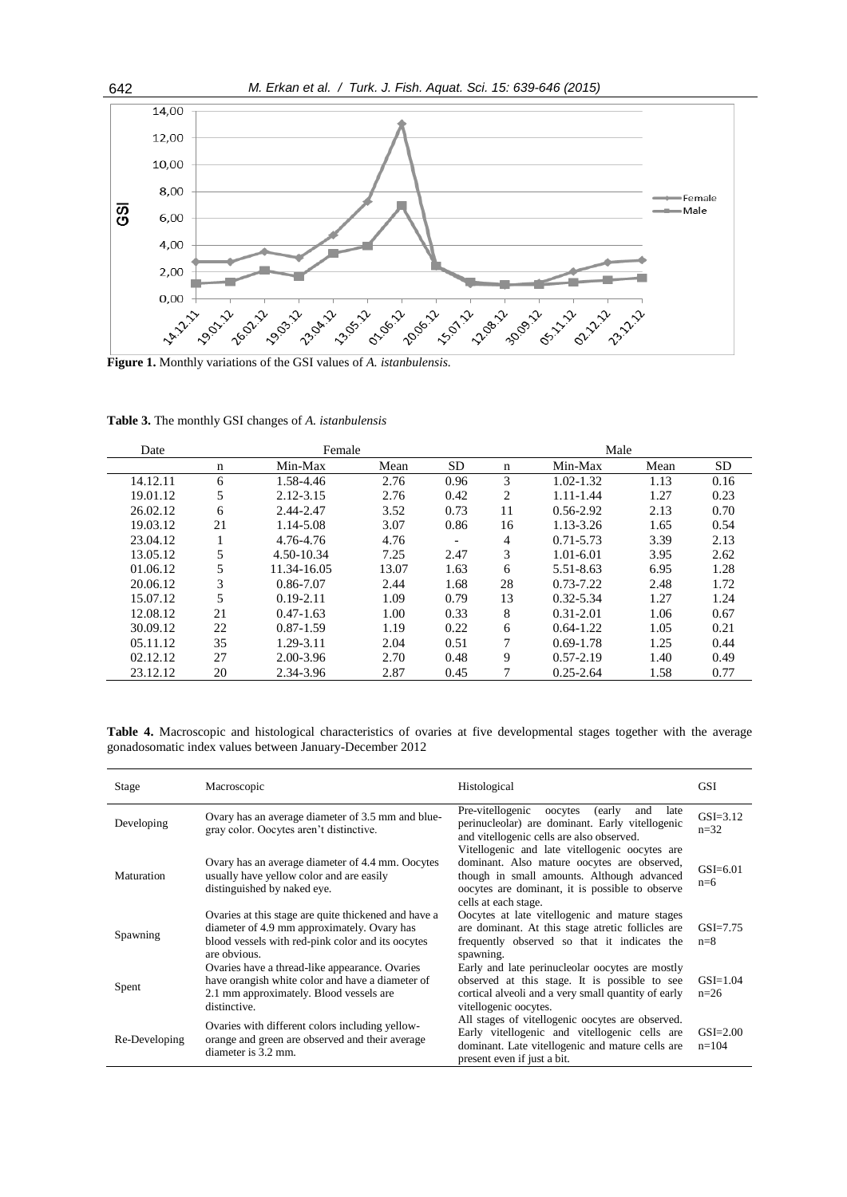

**Figure 1.** Monthly variations of the GSI values of *A. istanbulensis.*

**Table 3.** The monthly GSI changes of *A. istanbulensis*

| Date     |    | Female        |       |                          |             | Male          |      |           |
|----------|----|---------------|-------|--------------------------|-------------|---------------|------|-----------|
|          | n  | Min-Max       | Mean  | <b>SD</b>                | $\mathbf n$ | Min-Max       | Mean | <b>SD</b> |
| 14.12.11 | 6  | 1.58-4.46     | 2.76  | 0.96                     | 3           | $1.02 - 1.32$ | 1.13 | 0.16      |
| 19.01.12 | 5  | $2.12 - 3.15$ | 2.76  | 0.42                     | 2           | $1.11 - 1.44$ | 1.27 | 0.23      |
| 26.02.12 | 6  | 2.44-2.47     | 3.52  | 0.73                     | 11          | $0.56 - 2.92$ | 2.13 | 0.70      |
| 19.03.12 | 21 | 1.14-5.08     | 3.07  | 0.86                     | 16          | 1.13-3.26     | 1.65 | 0.54      |
| 23.04.12 |    | 4.76-4.76     | 4.76  | $\overline{\phantom{a}}$ | 4           | $0.71 - 5.73$ | 3.39 | 2.13      |
| 13.05.12 | 5  | 4.50-10.34    | 7.25  | 2.47                     | 3           | $1.01 - 6.01$ | 3.95 | 2.62      |
| 01.06.12 |    | 11.34-16.05   | 13.07 | 1.63                     | 6           | 5.51-8.63     | 6.95 | 1.28      |
| 20.06.12 | 3  | 0.86-7.07     | 2.44  | 1.68                     | 28          | $0.73 - 7.22$ | 2.48 | 1.72      |
| 15.07.12 | 5  | $0.19 - 2.11$ | 1.09  | 0.79                     | 13          | $0.32 - 5.34$ | 1.27 | 1.24      |
| 12.08.12 | 21 | $0.47 - 1.63$ | 1.00  | 0.33                     | 8           | $0.31 - 2.01$ | 1.06 | 0.67      |
| 30.09.12 | 22 | $0.87 - 1.59$ | 1.19  | 0.22                     | 6           | $0.64 - 1.22$ | 1.05 | 0.21      |
| 05.11.12 | 35 | 1.29-3.11     | 2.04  | 0.51                     | 7           | $0.69 - 1.78$ | 1.25 | 0.44      |
| 02.12.12 | 27 | 2.00-3.96     | 2.70  | 0.48                     | 9           | $0.57 - 2.19$ | 1.40 | 0.49      |
| 23.12.12 | 20 | 2.34-3.96     | 2.87  | 0.45                     | 7           | $0.25 - 2.64$ | 1.58 | 0.77      |

**Table 4.** Macroscopic and histological characteristics of ovaries at five developmental stages together with the average gonadosomatic index values between January-December 2012

| Stage         | Macroscopic                                                                                                                                                              | Histological                                                                                                                                                                                            | <b>GSI</b>               |
|---------------|--------------------------------------------------------------------------------------------------------------------------------------------------------------------------|---------------------------------------------------------------------------------------------------------------------------------------------------------------------------------------------------------|--------------------------|
| Developing    | Ovary has an average diameter of 3.5 mm and blue-<br>gray color. Oocytes aren't distinctive.                                                                             | Pre-vitellogenic<br>(early)<br>oocytes<br>and<br>late<br>perinucleolar) are dominant. Early vitellogenic<br>and vitellogenic cells are also observed.<br>Vitellogenic and late vitellogenic oocytes are | $GSI = 3.12$<br>$n = 32$ |
| Maturation    | Ovary has an average diameter of 4.4 mm. Oocytes<br>usually have yellow color and are easily<br>distinguished by naked eye.                                              | dominant. Also mature oocytes are observed,<br>though in small amounts. Although advanced<br>oocytes are dominant, it is possible to observe<br>cells at each stage.                                    | $GSI = 6.01$<br>$n=6$    |
| Spawning      | Ovaries at this stage are quite thickened and have a<br>diameter of 4.9 mm approximately. Ovary has<br>blood vessels with red-pink color and its oocytes<br>are obvious. | Oocytes at late vitellogenic and mature stages<br>are dominant. At this stage atretic follicles are<br>frequently observed so that it indicates the<br>spawning.                                        | $GSI = 7.75$<br>$n=8$    |
| Spent         | Ovaries have a thread-like appearance. Ovaries<br>have orangish white color and have a diameter of<br>2.1 mm approximately. Blood vessels are<br>distinctive.            | Early and late perinucleolar oocytes are mostly<br>observed at this stage. It is possible to see<br>cortical alveoli and a very small quantity of early<br>vitellogenic oocytes.                        | $GSI=1.04$<br>$n=26$     |
| Re-Developing | Ovaries with different colors including yellow-<br>orange and green are observed and their average<br>diameter is 3.2 mm.                                                | All stages of vitellogenic oocytes are observed.<br>Early vitellogenic and vitellogenic cells are<br>dominant. Late vitellogenic and mature cells are<br>present even if just a bit.                    | $GSI = 2.00$<br>$n=104$  |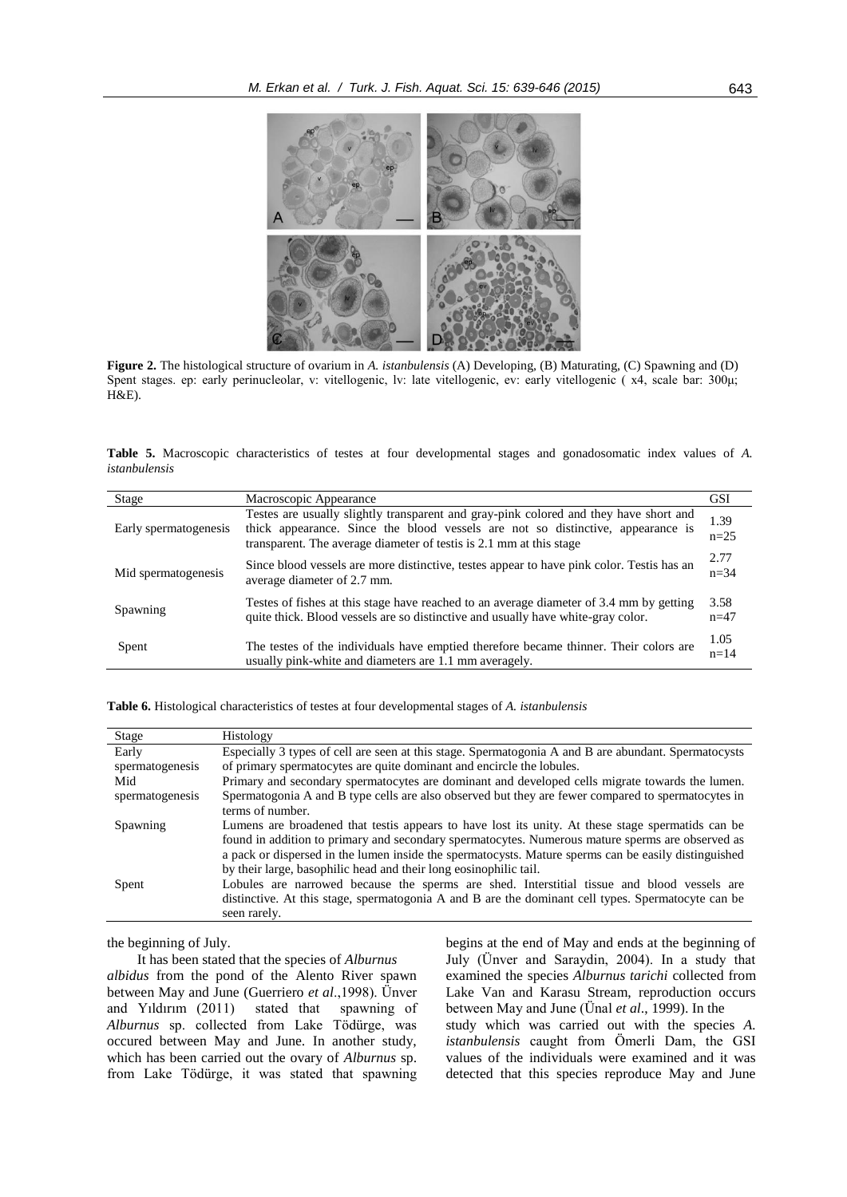

**Figure 2.** The histological structure of ovarium in *A. istanbulensis* (A) Developing, (B) Maturating, (C) Spawning and (D) Spent stages. ep: early perinucleolar, v: vitellogenic, lv: late vitellogenic, ev: early vitellogenic ( x4, scale bar: 300μ; H&E).

**Table 5.** Macroscopic characteristics of testes at four developmental stages and gonadosomatic index values of *A. istanbulensis*

| Stage                 | Macroscopic Appearance                                                                                                                                                                                                                        | <b>GSI</b>       |
|-----------------------|-----------------------------------------------------------------------------------------------------------------------------------------------------------------------------------------------------------------------------------------------|------------------|
| Early spermatogenesis | Testes are usually slightly transparent and gray-pink colored and they have short and<br>thick appearance. Since the blood vessels are not so distinctive, appearance is<br>transparent. The average diameter of test is 2.1 mm at this stage | 1.39<br>$n=25$   |
| Mid spermatogenesis   | Since blood vessels are more distinctive, testes appear to have pink color. Test is has an<br>average diameter of 2.7 mm.                                                                                                                     | 2.77<br>$n = 34$ |
| Spawning              | Testes of fishes at this stage have reached to an average diameter of 3.4 mm by getting<br>quite thick. Blood vessels are so distinctive and usually have white-gray color.                                                                   | 3.58<br>$n=47$   |
| Spent                 | The testes of the individuals have emptied therefore became thinner. Their colors are<br>usually pink-white and diameters are 1.1 mm averagely.                                                                                               | 1.05<br>$n=14$   |

| Table 6. Histological characteristics of testes at four developmental stages of A. <i>istanbulensis</i> |  |  |  |  |
|---------------------------------------------------------------------------------------------------------|--|--|--|--|
|---------------------------------------------------------------------------------------------------------|--|--|--|--|

| Stage           | Histology                                                                                            |
|-----------------|------------------------------------------------------------------------------------------------------|
| Early           | Especially 3 types of cell are seen at this stage. Spermatogonia A and B are abundant. Spermatocysts |
| spermatogenesis | of primary spermatocytes are quite dominant and encircle the lobules.                                |
| Mid             | Primary and secondary spermatocytes are dominant and developed cells migrate towards the lumen.      |
| spermatogenesis | Spermatogonia A and B type cells are also observed but they are fewer compared to spermatocytes in   |
|                 | terms of number.                                                                                     |
| Spawning        | Lumens are broadened that test is appears to have lost its unity. At these stage spermatids can be   |
|                 | found in addition to primary and secondary spermatocytes. Numerous mature sperms are observed as     |
|                 | a pack or dispersed in the lumen inside the spermatocysts. Mature sperms can be easily distinguished |
|                 | by their large, basophilic head and their long eosinophilic tail.                                    |
| Spent           | Lobules are narrowed because the sperms are shed. Interstitial tissue and blood vessels are          |
|                 | distinctive. At this stage, spermatogonia A and B are the dominant cell types. Spermatocyte can be   |
|                 | seen rarely.                                                                                         |

the beginning of July.

It has been stated that the species of *Alburnus albidus* from the pond of the Alento River spawn between May and June (Guerriero *et al*.,1998). Ünver and Yıldırım (2011) stated that spawning of *Alburnus* sp. collected from Lake Tödürge, was occured between May and June. In another study, which has been carried out the ovary of *Alburnus* sp. from Lake Tödürge, it was stated that spawning begins at the end of May and ends at the beginning of July (Ünver and Saraydin, 2004). In a study that examined the species *Alburnus tarichi* collected from Lake Van and Karasu Stream, reproduction occurs between May and June (Ünal *et al*., 1999). In the study which was carried out with the species *A. istanbulensis* caught from Ömerli Dam, the GSI values of the individuals were examined and it was detected that this species reproduce May and June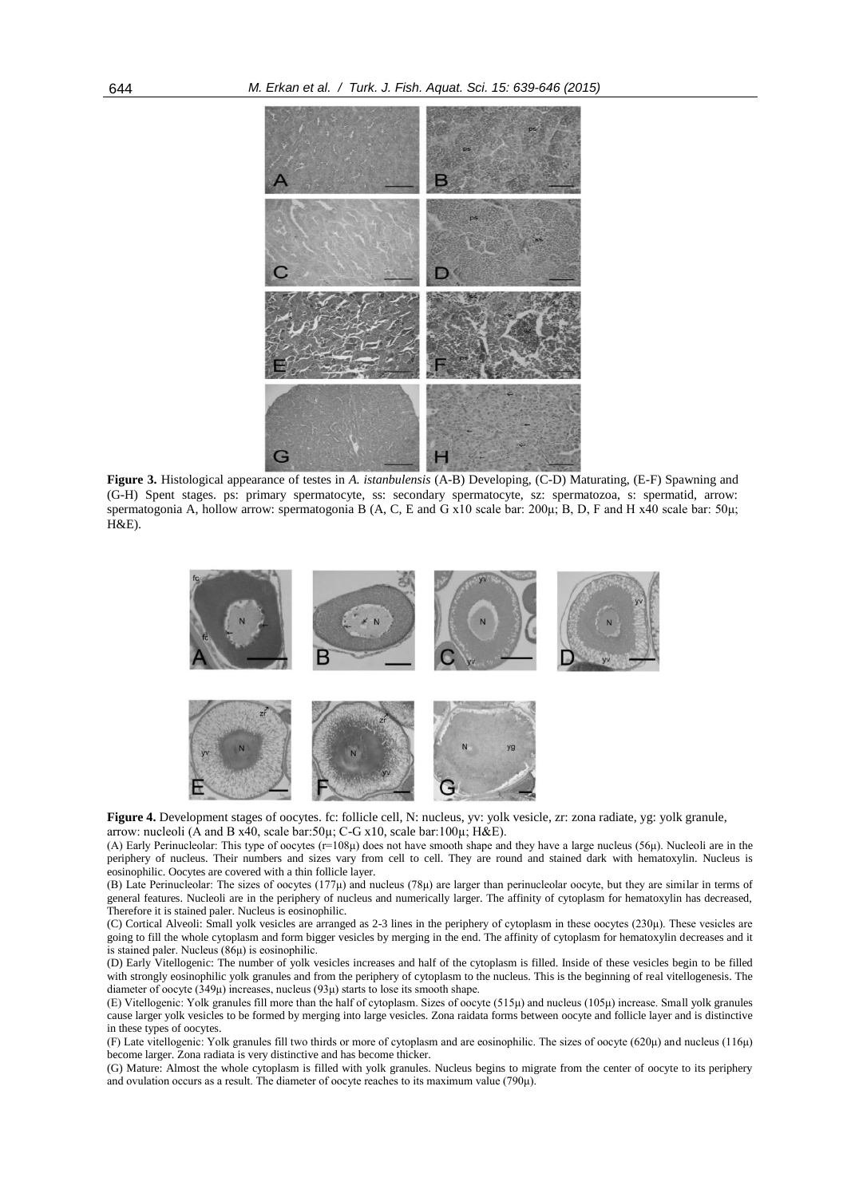

**Figure 3.** Histological appearance of testes in *A. istanbulensis* (A-B) Developing, (C-D) Maturating, (E-F) Spawning and (G-H) Spent stages. ps: primary spermatocyte, ss: secondary spermatocyte, sz: spermatozoa, s: spermatid, arrow: spermatogonia A, hollow arrow: spermatogonia B (A, C, E and G x10 scale bar: 200μ; B, D, F and H x40 scale bar: 50μ; H&E).



Figure 4. Development stages of oocytes. fc: follicle cell, N: nucleus, yv: yolk vesicle, zr: zona radiate, yg: yolk granule, arrow: nucleoli (A and B x40, scale bar:50µ; C-G x10, scale bar:100µ; H&E).

(A) Early Perinucleolar: This type of oocytes ( $r=108\mu$ ) does not have smooth shape and they have a large nucleus (56 $\mu$ ). Nucleoli are in the periphery of nucleus. Their numbers and sizes vary from cell to cell. They are round and stained dark with hematoxylin. Nucleus is eosinophilic. Oocytes are covered with a thin follicle layer.

(B) Late Perinucleolar: The sizes of oocytes (177μ) and nucleus (78μ) are larger than perinucleolar oocyte, but they are similar in terms of general features. Nucleoli are in the periphery of nucleus and numerically larger. The affinity of cytoplasm for hematoxylin has decreased, Therefore it is stained paler. Nucleus is eosinophilic.

(C) Cortical Alveoli: Small yolk vesicles are arranged as 2-3 lines in the periphery of cytoplasm in these oocytes (230μ). These vesicles are going to fill the whole cytoplasm and form bigger vesicles by merging in the end. The affinity of cytoplasm for hematoxylin decreases and it is stained paler. Nucleus  $(86\mu)$  is eosinophilic.

(D) Early Vitellogenic: The number of yolk vesicles increases and half of the cytoplasm is filled. Inside of these vesicles begin to be filled with strongly eosinophilic yolk granules and from the periphery of cytoplasm to the nucleus. This is the beginning of real vitellogenesis. The diameter of oocyte (349μ) increases, nucleus (93μ) starts to lose its smooth shape.

(E) Vitellogenic: Yolk granules fill more than the half of cytoplasm. Sizes of oocyte (515μ) and nucleus (105μ) increase. Small yolk granules cause larger yolk vesicles to be formed by merging into large vesicles. Zona raidata forms between oocyte and follicle layer and is distinctive in these types of oocytes.

(F) Late vitellogenic: Yolk granules fill two thirds or more of cytoplasm and are eosinophilic. The sizes of oocyte (620μ) and nucleus (116μ) become larger. Zona radiata is very distinctive and has become thicker.

(G) Mature: Almost the whole cytoplasm is filled with yolk granules. Nucleus begins to migrate from the center of oocyte to its periphery and ovulation occurs as a result. The diameter of oocyte reaches to its maximum value (790μ).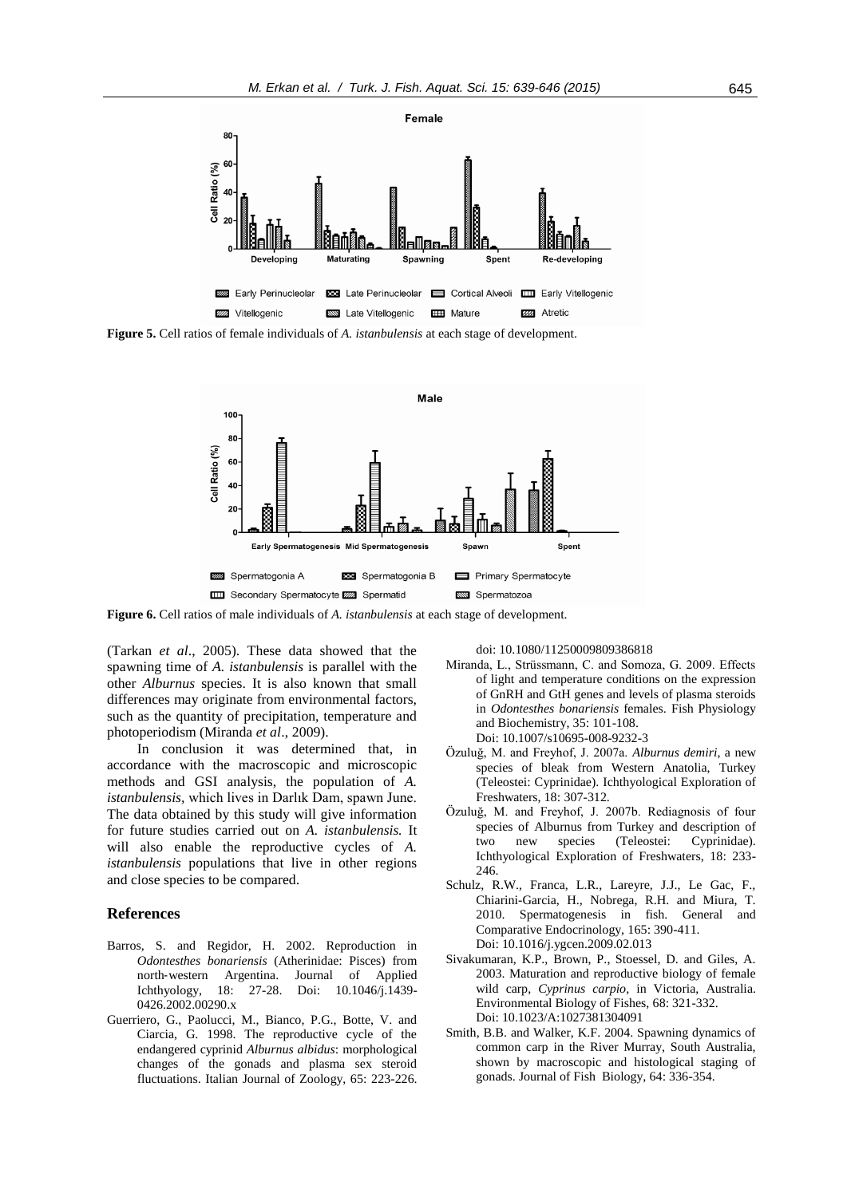

**Figure 5.** Cell ratios of female individuals of *A. istanbulensis* at each stage of development.



**Figure 6.** Cell ratios of male individuals of *A. istanbulensis* at each stage of development.

(Tarkan *et al*., 2005). These data showed that the spawning time of *A. istanbulensis* is parallel with the other *Alburnus* species. It is also known that small differences may originate from environmental factors, such as the quantity of precipitation, temperature and photoperiodism (Miranda *et al*., 2009).

In conclusion it was determined that, in accordance with the macroscopic and microscopic methods and GSI analysis, the population of *A. istanbulensis,* which lives in Darlık Dam, spawn June. The data obtained by this study will give information for future studies carried out on *A. istanbulensis.* It will also enable the reproductive cycles of *A. istanbulensis* populations that live in other regions and close species to be compared.

# **References**

- Barros, S. and Regidor, H. 2002. Reproduction in *Odontesthes bonariensis* (Atherinidae: Pisces) from north‐western Argentina. Journal of Applied Ichthyology, 18: 27-28. Doi: 10.1046/j.1439- 0426.2002.00290.x
- Guerriero, G., Paolucci, M., Bianco, P.G., Botte, V. and Ciarcia, G. 1998. The reproductive cycle of the endangered cyprinid *Alburnus albidus*: morphological changes of the gonads and plasma sex steroid fluctuations. Italian Journal of Zoology, 65: 223-226.

doi: 10.1080/11250009809386818

- Miranda, L., Strüssmann, C. and Somoza, G. 2009. Effects of light and temperature conditions on the expression of GnRH and GtH genes and levels of plasma steroids in *Odontesthes bonariensis* females. Fish Physiology and Biochemistry, 35: 101-108. Doi: 10.1007/s10695-008-9232-3
- Özuluğ, M. and Freyhof, J. 2007a. *Alburnus demiri*, a new species of bleak from Western Anatolia, Turkey (Teleostei: Cyprinidae). Ichthyological Exploration of Freshwaters, 18: 307-312.
- Özuluğ, M. and Freyhof, J. 2007b. Rediagnosis of four species of Alburnus from Turkey and description of two new species (Teleostei: Cyprinidae). Ichthyological Exploration of Freshwaters, 18: 233- 246.
- Schulz, R.W., Franca, L.R., Lareyre, J.J., Le Gac, F., Chiarini-Garcia, H., Nobrega, R.H. and Miura, T. 2010. Spermatogenesis in fish. General and Comparative Endocrinology, 165: 390-411. Doi: 10.1016/j.ygcen.2009.02.013
- Sivakumaran, K.P., Brown, P., Stoessel, D. and Giles, A. 2003. Maturation and reproductive biology of female wild carp, *Cyprinus carpio*, in Victoria, Australia. Environmental Biology of Fishes, 68: 321-332. Doi: 10.1023/A:1027381304091
- Smith, B.B. and Walker, K.F. 2004. Spawning dynamics of common carp in the River Murray, South Australia, shown by macroscopic and histological staging of gonads. Journal of Fish Biology, 64: 336-354.